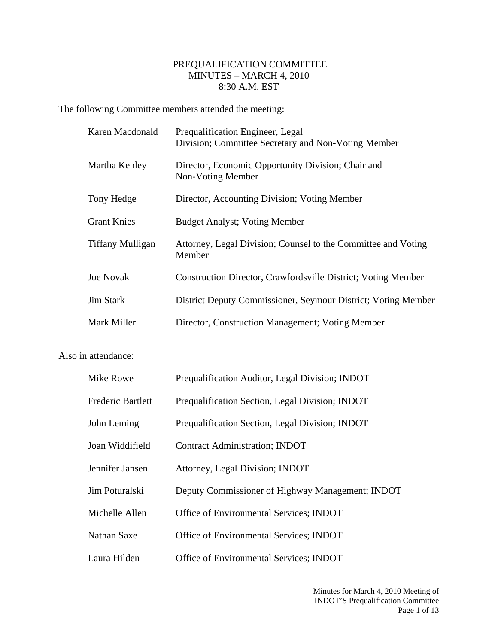## PREQUALIFICATION COMMITTEE MINUTES – MARCH 4, 2010 8:30 A.M. EST

The following Committee members attended the meeting:

| Karen Macdonald         | Prequalification Engineer, Legal<br>Division; Committee Secretary and Non-Voting Member |
|-------------------------|-----------------------------------------------------------------------------------------|
| Martha Kenley           | Director, Economic Opportunity Division; Chair and<br>Non-Voting Member                 |
| Tony Hedge              | Director, Accounting Division; Voting Member                                            |
| <b>Grant Knies</b>      | <b>Budget Analyst</b> ; Voting Member                                                   |
| <b>Tiffany Mulligan</b> | Attorney, Legal Division; Counsel to the Committee and Voting<br>Member                 |
| <b>Joe Novak</b>        | Construction Director, Crawfordsville District; Voting Member                           |
| <b>Jim Stark</b>        | District Deputy Commissioner, Seymour District; Voting Member                           |
| Mark Miller             | Director, Construction Management; Voting Member                                        |

## Also in attendance:

| Mike Rowe         | Prequalification Auditor, Legal Division; INDOT  |
|-------------------|--------------------------------------------------|
| Frederic Bartlett | Prequalification Section, Legal Division; INDOT  |
| John Leming       | Prequalification Section, Legal Division; INDOT  |
| Joan Widdifield   | <b>Contract Administration; INDOT</b>            |
| Jennifer Jansen   | Attorney, Legal Division; INDOT                  |
| Jim Poturalski    | Deputy Commissioner of Highway Management; INDOT |
| Michelle Allen    | Office of Environmental Services; INDOT          |
| Nathan Saxe       | Office of Environmental Services; INDOT          |
| Laura Hilden      | Office of Environmental Services; INDOT          |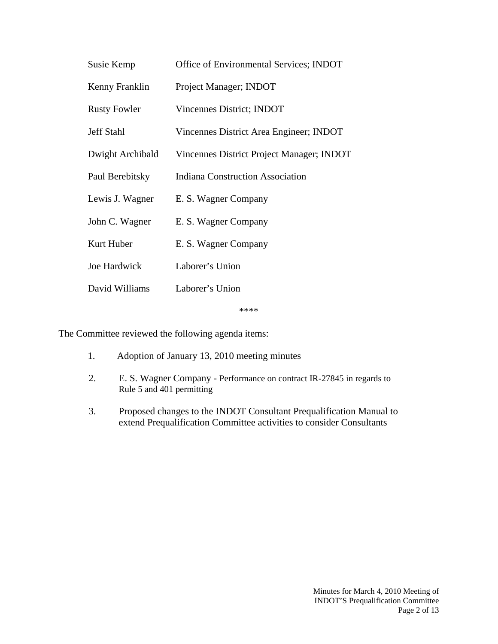| Susie Kemp          | Office of Environmental Services; INDOT   |
|---------------------|-------------------------------------------|
| Kenny Franklin      | Project Manager; INDOT                    |
| <b>Rusty Fowler</b> | Vincennes District; INDOT                 |
| <b>Jeff Stahl</b>   | Vincennes District Area Engineer; INDOT   |
| Dwight Archibald    | Vincennes District Project Manager; INDOT |
| Paul Berebitsky     | <b>Indiana Construction Association</b>   |
| Lewis J. Wagner     | E. S. Wagner Company                      |
| John C. Wagner      | E. S. Wagner Company                      |
| Kurt Huber          | E. S. Wagner Company                      |
| Joe Hardwick        | Laborer's Union                           |
| David Williams      | Laborer's Union                           |

\*\*\*\*

The Committee reviewed the following agenda items:

- 1. Adoption of January 13, 2010 meeting minutes
- 2. E. S. Wagner Company Performance on contract IR-27845 in regards to Rule 5 and 401 permitting
- 3. Proposed changes to the INDOT Consultant Prequalification Manual to extend Prequalification Committee activities to consider Consultants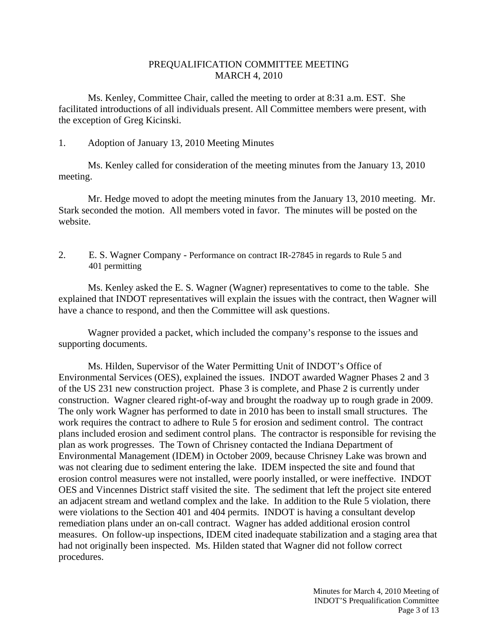## PREQUALIFICATION COMMITTEE MEETING MARCH 4, 2010

 Ms. Kenley, Committee Chair, called the meeting to order at 8:31 a.m. EST. She facilitated introductions of all individuals present. All Committee members were present, with the exception of Greg Kicinski.

## 1. Adoption of January 13, 2010 Meeting Minutes

 Ms. Kenley called for consideration of the meeting minutes from the January 13, 2010 meeting.

 Mr. Hedge moved to adopt the meeting minutes from the January 13, 2010 meeting. Mr. Stark seconded the motion. All members voted in favor. The minutes will be posted on the website.

2. E. S. Wagner Company - Performance on contract IR-27845 in regards to Rule 5 and 401 permitting

Ms. Kenley asked the E. S. Wagner (Wagner) representatives to come to the table. She explained that INDOT representatives will explain the issues with the contract, then Wagner will have a chance to respond, and then the Committee will ask questions.

Wagner provided a packet, which included the company's response to the issues and supporting documents.

Ms. Hilden, Supervisor of the Water Permitting Unit of INDOT's Office of Environmental Services (OES), explained the issues. INDOT awarded Wagner Phases 2 and 3 of the US 231 new construction project. Phase 3 is complete, and Phase 2 is currently under construction. Wagner cleared right-of-way and brought the roadway up to rough grade in 2009. The only work Wagner has performed to date in 2010 has been to install small structures. The work requires the contract to adhere to Rule 5 for erosion and sediment control. The contract plans included erosion and sediment control plans. The contractor is responsible for revising the plan as work progresses. The Town of Chrisney contacted the Indiana Department of Environmental Management (IDEM) in October 2009, because Chrisney Lake was brown and was not clearing due to sediment entering the lake. IDEM inspected the site and found that erosion control measures were not installed, were poorly installed, or were ineffective. INDOT OES and Vincennes District staff visited the site. The sediment that left the project site entered an adjacent stream and wetland complex and the lake. In addition to the Rule 5 violation, there were violations to the Section 401 and 404 permits. INDOT is having a consultant develop remediation plans under an on-call contract. Wagner has added additional erosion control measures. On follow-up inspections, IDEM cited inadequate stabilization and a staging area that had not originally been inspected. Ms. Hilden stated that Wagner did not follow correct procedures.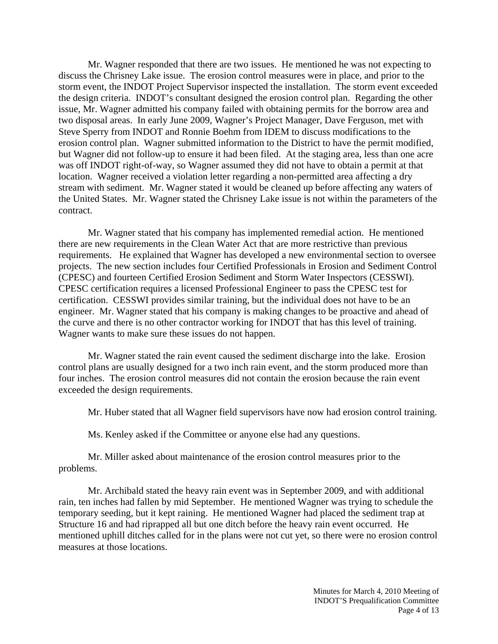Mr. Wagner responded that there are two issues. He mentioned he was not expecting to discuss the Chrisney Lake issue. The erosion control measures were in place, and prior to the storm event, the INDOT Project Supervisor inspected the installation. The storm event exceeded the design criteria. INDOT's consultant designed the erosion control plan. Regarding the other issue, Mr. Wagner admitted his company failed with obtaining permits for the borrow area and two disposal areas. In early June 2009, Wagner's Project Manager, Dave Ferguson, met with Steve Sperry from INDOT and Ronnie Boehm from IDEM to discuss modifications to the erosion control plan. Wagner submitted information to the District to have the permit modified, but Wagner did not follow-up to ensure it had been filed. At the staging area, less than one acre was off INDOT right-of-way, so Wagner assumed they did not have to obtain a permit at that location. Wagner received a violation letter regarding a non-permitted area affecting a dry stream with sediment. Mr. Wagner stated it would be cleaned up before affecting any waters of the United States. Mr. Wagner stated the Chrisney Lake issue is not within the parameters of the contract.

 Mr. Wagner stated that his company has implemented remedial action. He mentioned there are new requirements in the Clean Water Act that are more restrictive than previous requirements. He explained that Wagner has developed a new environmental section to oversee projects. The new section includes four Certified Professionals in Erosion and Sediment Control (CPESC) and fourteen Certified Erosion Sediment and Storm Water Inspectors (CESSWI). CPESC certification requires a licensed Professional Engineer to pass the CPESC test for certification. CESSWI provides similar training, but the individual does not have to be an engineer. Mr. Wagner stated that his company is making changes to be proactive and ahead of the curve and there is no other contractor working for INDOT that has this level of training. Wagner wants to make sure these issues do not happen.

Mr. Wagner stated the rain event caused the sediment discharge into the lake. Erosion control plans are usually designed for a two inch rain event, and the storm produced more than four inches. The erosion control measures did not contain the erosion because the rain event exceeded the design requirements.

Mr. Huber stated that all Wagner field supervisors have now had erosion control training.

Ms. Kenley asked if the Committee or anyone else had any questions.

Mr. Miller asked about maintenance of the erosion control measures prior to the problems.

Mr. Archibald stated the heavy rain event was in September 2009, and with additional rain, ten inches had fallen by mid September. He mentioned Wagner was trying to schedule the temporary seeding, but it kept raining. He mentioned Wagner had placed the sediment trap at Structure 16 and had riprapped all but one ditch before the heavy rain event occurred. He mentioned uphill ditches called for in the plans were not cut yet, so there were no erosion control measures at those locations.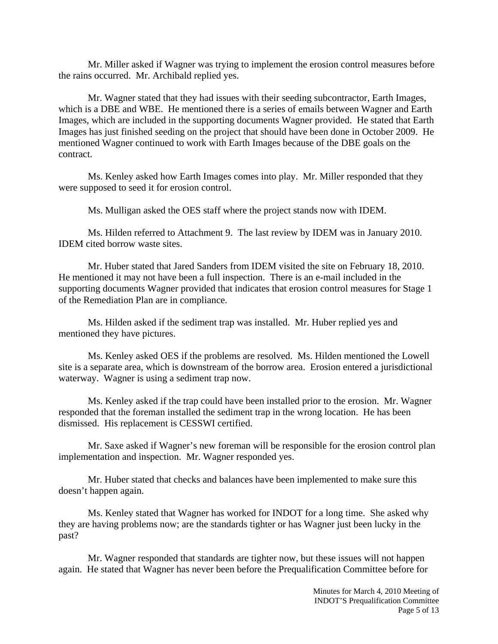Mr. Miller asked if Wagner was trying to implement the erosion control measures before the rains occurred. Mr. Archibald replied yes.

Mr. Wagner stated that they had issues with their seeding subcontractor, Earth Images, which is a DBE and WBE. He mentioned there is a series of emails between Wagner and Earth Images, which are included in the supporting documents Wagner provided. He stated that Earth Images has just finished seeding on the project that should have been done in October 2009. He mentioned Wagner continued to work with Earth Images because of the DBE goals on the contract.

Ms. Kenley asked how Earth Images comes into play. Mr. Miller responded that they were supposed to seed it for erosion control.

Ms. Mulligan asked the OES staff where the project stands now with IDEM.

Ms. Hilden referred to Attachment 9. The last review by IDEM was in January 2010. IDEM cited borrow waste sites.

Mr. Huber stated that Jared Sanders from IDEM visited the site on February 18, 2010. He mentioned it may not have been a full inspection. There is an e-mail included in the supporting documents Wagner provided that indicates that erosion control measures for Stage 1 of the Remediation Plan are in compliance.

Ms. Hilden asked if the sediment trap was installed. Mr. Huber replied yes and mentioned they have pictures.

Ms. Kenley asked OES if the problems are resolved. Ms. Hilden mentioned the Lowell site is a separate area, which is downstream of the borrow area. Erosion entered a jurisdictional waterway. Wagner is using a sediment trap now.

Ms. Kenley asked if the trap could have been installed prior to the erosion. Mr. Wagner responded that the foreman installed the sediment trap in the wrong location. He has been dismissed. His replacement is CESSWI certified.

Mr. Saxe asked if Wagner's new foreman will be responsible for the erosion control plan implementation and inspection. Mr. Wagner responded yes.

Mr. Huber stated that checks and balances have been implemented to make sure this doesn't happen again.

Ms. Kenley stated that Wagner has worked for INDOT for a long time. She asked why they are having problems now; are the standards tighter or has Wagner just been lucky in the past?

Mr. Wagner responded that standards are tighter now, but these issues will not happen again. He stated that Wagner has never been before the Prequalification Committee before for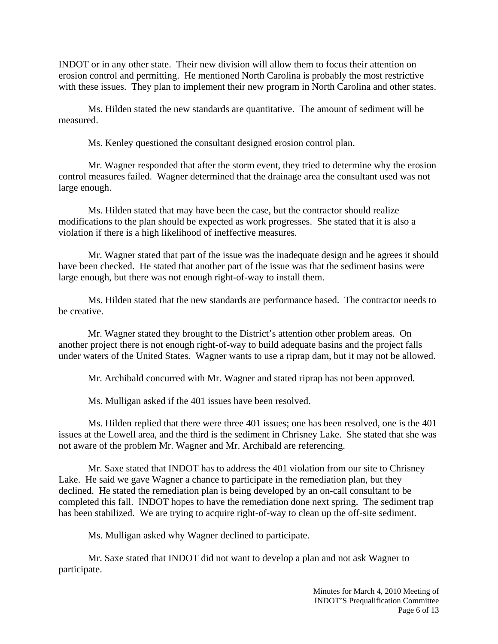INDOT or in any other state. Their new division will allow them to focus their attention on erosion control and permitting. He mentioned North Carolina is probably the most restrictive with these issues. They plan to implement their new program in North Carolina and other states.

Ms. Hilden stated the new standards are quantitative. The amount of sediment will be measured.

Ms. Kenley questioned the consultant designed erosion control plan.

Mr. Wagner responded that after the storm event, they tried to determine why the erosion control measures failed. Wagner determined that the drainage area the consultant used was not large enough.

Ms. Hilden stated that may have been the case, but the contractor should realize modifications to the plan should be expected as work progresses. She stated that it is also a violation if there is a high likelihood of ineffective measures.

Mr. Wagner stated that part of the issue was the inadequate design and he agrees it should have been checked. He stated that another part of the issue was that the sediment basins were large enough, but there was not enough right-of-way to install them.

Ms. Hilden stated that the new standards are performance based. The contractor needs to be creative.

Mr. Wagner stated they brought to the District's attention other problem areas. On another project there is not enough right-of-way to build adequate basins and the project falls under waters of the United States. Wagner wants to use a riprap dam, but it may not be allowed.

Mr. Archibald concurred with Mr. Wagner and stated riprap has not been approved.

Ms. Mulligan asked if the 401 issues have been resolved.

Ms. Hilden replied that there were three 401 issues; one has been resolved, one is the 401 issues at the Lowell area, and the third is the sediment in Chrisney Lake. She stated that she was not aware of the problem Mr. Wagner and Mr. Archibald are referencing.

Mr. Saxe stated that INDOT has to address the 401 violation from our site to Chrisney Lake. He said we gave Wagner a chance to participate in the remediation plan, but they declined. He stated the remediation plan is being developed by an on-call consultant to be completed this fall. INDOT hopes to have the remediation done next spring. The sediment trap has been stabilized. We are trying to acquire right-of-way to clean up the off-site sediment.

Ms. Mulligan asked why Wagner declined to participate.

Mr. Saxe stated that INDOT did not want to develop a plan and not ask Wagner to participate.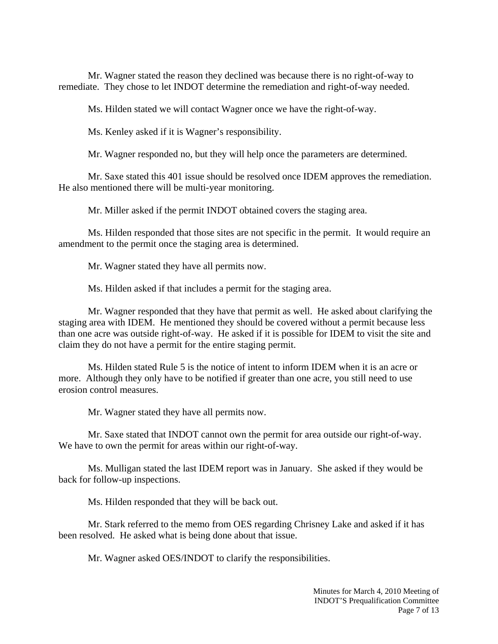Mr. Wagner stated the reason they declined was because there is no right-of-way to remediate. They chose to let INDOT determine the remediation and right-of-way needed.

Ms. Hilden stated we will contact Wagner once we have the right-of-way.

Ms. Kenley asked if it is Wagner's responsibility.

Mr. Wagner responded no, but they will help once the parameters are determined.

Mr. Saxe stated this 401 issue should be resolved once IDEM approves the remediation. He also mentioned there will be multi-year monitoring.

Mr. Miller asked if the permit INDOT obtained covers the staging area.

Ms. Hilden responded that those sites are not specific in the permit. It would require an amendment to the permit once the staging area is determined.

Mr. Wagner stated they have all permits now.

Ms. Hilden asked if that includes a permit for the staging area.

Mr. Wagner responded that they have that permit as well. He asked about clarifying the staging area with IDEM. He mentioned they should be covered without a permit because less than one acre was outside right-of-way. He asked if it is possible for IDEM to visit the site and claim they do not have a permit for the entire staging permit.

Ms. Hilden stated Rule 5 is the notice of intent to inform IDEM when it is an acre or more. Although they only have to be notified if greater than one acre, you still need to use erosion control measures.

Mr. Wagner stated they have all permits now.

Mr. Saxe stated that INDOT cannot own the permit for area outside our right-of-way. We have to own the permit for areas within our right-of-way.

Ms. Mulligan stated the last IDEM report was in January. She asked if they would be back for follow-up inspections.

Ms. Hilden responded that they will be back out.

Mr. Stark referred to the memo from OES regarding Chrisney Lake and asked if it has been resolved. He asked what is being done about that issue.

Mr. Wagner asked OES/INDOT to clarify the responsibilities.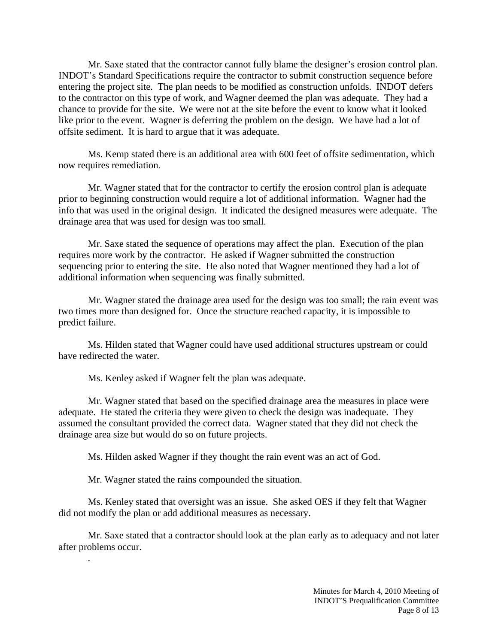Mr. Saxe stated that the contractor cannot fully blame the designer's erosion control plan. INDOT's Standard Specifications require the contractor to submit construction sequence before entering the project site. The plan needs to be modified as construction unfolds. INDOT defers to the contractor on this type of work, and Wagner deemed the plan was adequate. They had a chance to provide for the site. We were not at the site before the event to know what it looked like prior to the event. Wagner is deferring the problem on the design. We have had a lot of offsite sediment. It is hard to argue that it was adequate.

Ms. Kemp stated there is an additional area with 600 feet of offsite sedimentation, which now requires remediation.

Mr. Wagner stated that for the contractor to certify the erosion control plan is adequate prior to beginning construction would require a lot of additional information. Wagner had the info that was used in the original design. It indicated the designed measures were adequate. The drainage area that was used for design was too small.

Mr. Saxe stated the sequence of operations may affect the plan. Execution of the plan requires more work by the contractor. He asked if Wagner submitted the construction sequencing prior to entering the site. He also noted that Wagner mentioned they had a lot of additional information when sequencing was finally submitted.

Mr. Wagner stated the drainage area used for the design was too small; the rain event was two times more than designed for. Once the structure reached capacity, it is impossible to predict failure.

Ms. Hilden stated that Wagner could have used additional structures upstream or could have redirected the water.

Ms. Kenley asked if Wagner felt the plan was adequate.

Mr. Wagner stated that based on the specified drainage area the measures in place were adequate. He stated the criteria they were given to check the design was inadequate. They assumed the consultant provided the correct data. Wagner stated that they did not check the drainage area size but would do so on future projects.

Ms. Hilden asked Wagner if they thought the rain event was an act of God.

Mr. Wagner stated the rains compounded the situation.

.

Ms. Kenley stated that oversight was an issue. She asked OES if they felt that Wagner did not modify the plan or add additional measures as necessary.

Mr. Saxe stated that a contractor should look at the plan early as to adequacy and not later after problems occur.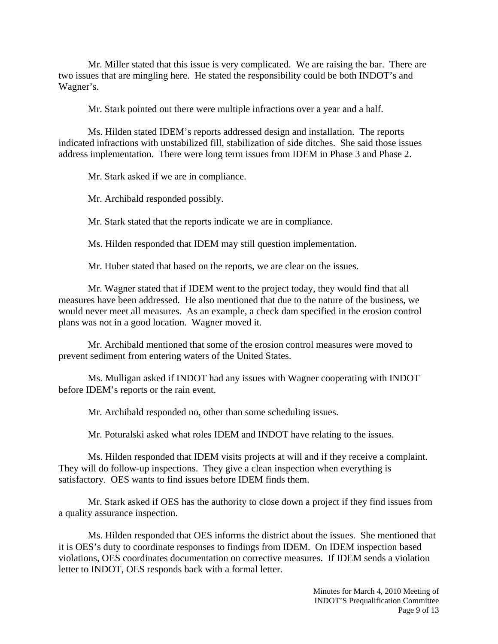Mr. Miller stated that this issue is very complicated. We are raising the bar. There are two issues that are mingling here. He stated the responsibility could be both INDOT's and Wagner's.

Mr. Stark pointed out there were multiple infractions over a year and a half.

Ms. Hilden stated IDEM's reports addressed design and installation. The reports indicated infractions with unstabilized fill, stabilization of side ditches. She said those issues address implementation. There were long term issues from IDEM in Phase 3 and Phase 2.

Mr. Stark asked if we are in compliance.

Mr. Archibald responded possibly.

Mr. Stark stated that the reports indicate we are in compliance.

Ms. Hilden responded that IDEM may still question implementation.

Mr. Huber stated that based on the reports, we are clear on the issues.

Mr. Wagner stated that if IDEM went to the project today, they would find that all measures have been addressed. He also mentioned that due to the nature of the business, we would never meet all measures. As an example, a check dam specified in the erosion control plans was not in a good location. Wagner moved it.

Mr. Archibald mentioned that some of the erosion control measures were moved to prevent sediment from entering waters of the United States.

Ms. Mulligan asked if INDOT had any issues with Wagner cooperating with INDOT before IDEM's reports or the rain event.

Mr. Archibald responded no, other than some scheduling issues.

Mr. Poturalski asked what roles IDEM and INDOT have relating to the issues.

Ms. Hilden responded that IDEM visits projects at will and if they receive a complaint. They will do follow-up inspections. They give a clean inspection when everything is satisfactory. OES wants to find issues before IDEM finds them.

Mr. Stark asked if OES has the authority to close down a project if they find issues from a quality assurance inspection.

Ms. Hilden responded that OES informs the district about the issues. She mentioned that it is OES's duty to coordinate responses to findings from IDEM. On IDEM inspection based violations, OES coordinates documentation on corrective measures. If IDEM sends a violation letter to INDOT, OES responds back with a formal letter.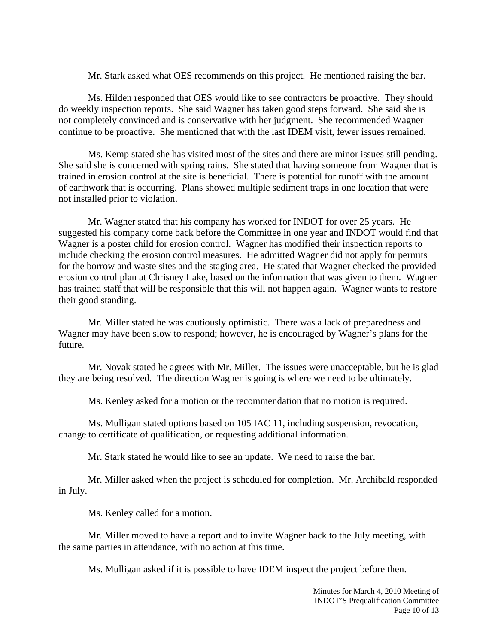Mr. Stark asked what OES recommends on this project. He mentioned raising the bar.

Ms. Hilden responded that OES would like to see contractors be proactive. They should do weekly inspection reports. She said Wagner has taken good steps forward. She said she is not completely convinced and is conservative with her judgment. She recommended Wagner continue to be proactive. She mentioned that with the last IDEM visit, fewer issues remained.

Ms. Kemp stated she has visited most of the sites and there are minor issues still pending. She said she is concerned with spring rains. She stated that having someone from Wagner that is trained in erosion control at the site is beneficial. There is potential for runoff with the amount of earthwork that is occurring. Plans showed multiple sediment traps in one location that were not installed prior to violation.

Mr. Wagner stated that his company has worked for INDOT for over 25 years. He suggested his company come back before the Committee in one year and INDOT would find that Wagner is a poster child for erosion control. Wagner has modified their inspection reports to include checking the erosion control measures. He admitted Wagner did not apply for permits for the borrow and waste sites and the staging area. He stated that Wagner checked the provided erosion control plan at Chrisney Lake, based on the information that was given to them. Wagner has trained staff that will be responsible that this will not happen again. Wagner wants to restore their good standing.

Mr. Miller stated he was cautiously optimistic. There was a lack of preparedness and Wagner may have been slow to respond; however, he is encouraged by Wagner's plans for the future.

Mr. Novak stated he agrees with Mr. Miller. The issues were unacceptable, but he is glad they are being resolved. The direction Wagner is going is where we need to be ultimately.

Ms. Kenley asked for a motion or the recommendation that no motion is required.

Ms. Mulligan stated options based on 105 IAC 11, including suspension, revocation, change to certificate of qualification, or requesting additional information.

Mr. Stark stated he would like to see an update. We need to raise the bar.

Mr. Miller asked when the project is scheduled for completion. Mr. Archibald responded in July.

Ms. Kenley called for a motion.

Mr. Miller moved to have a report and to invite Wagner back to the July meeting, with the same parties in attendance, with no action at this time.

Ms. Mulligan asked if it is possible to have IDEM inspect the project before then.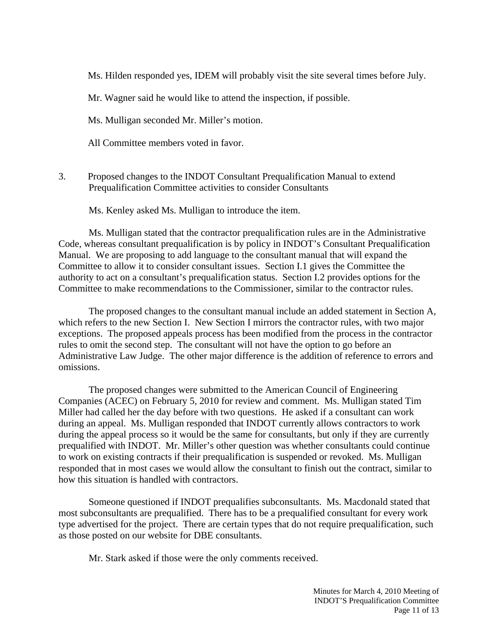Ms. Hilden responded yes, IDEM will probably visit the site several times before July.

Mr. Wagner said he would like to attend the inspection, if possible.

Ms. Mulligan seconded Mr. Miller's motion.

All Committee members voted in favor.

3. Proposed changes to the INDOT Consultant Prequalification Manual to extend Prequalification Committee activities to consider Consultants

Ms. Kenley asked Ms. Mulligan to introduce the item.

Ms. Mulligan stated that the contractor prequalification rules are in the Administrative Code, whereas consultant prequalification is by policy in INDOT's Consultant Prequalification Manual. We are proposing to add language to the consultant manual that will expand the Committee to allow it to consider consultant issues. Section I.1 gives the Committee the authority to act on a consultant's prequalification status. Section I.2 provides options for the Committee to make recommendations to the Commissioner, similar to the contractor rules.

The proposed changes to the consultant manual include an added statement in Section A, which refers to the new Section I. New Section I mirrors the contractor rules, with two major exceptions. The proposed appeals process has been modified from the process in the contractor rules to omit the second step. The consultant will not have the option to go before an Administrative Law Judge. The other major difference is the addition of reference to errors and omissions.

The proposed changes were submitted to the American Council of Engineering Companies (ACEC) on February 5, 2010 for review and comment. Ms. Mulligan stated Tim Miller had called her the day before with two questions. He asked if a consultant can work during an appeal. Ms. Mulligan responded that INDOT currently allows contractors to work during the appeal process so it would be the same for consultants, but only if they are currently prequalified with INDOT. Mr. Miller's other question was whether consultants could continue to work on existing contracts if their prequalification is suspended or revoked. Ms. Mulligan responded that in most cases we would allow the consultant to finish out the contract, similar to how this situation is handled with contractors.

Someone questioned if INDOT prequalifies subconsultants. Ms. Macdonald stated that most subconsultants are prequalified. There has to be a prequalified consultant for every work type advertised for the project. There are certain types that do not require prequalification, such as those posted on our website for DBE consultants.

Mr. Stark asked if those were the only comments received.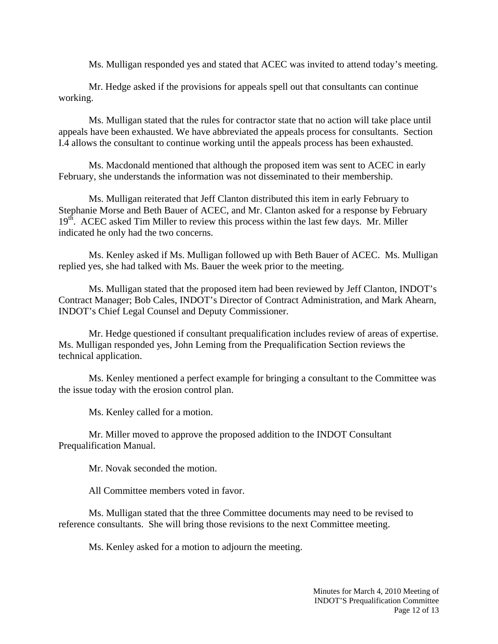Ms. Mulligan responded yes and stated that ACEC was invited to attend today's meeting.

Mr. Hedge asked if the provisions for appeals spell out that consultants can continue working.

Ms. Mulligan stated that the rules for contractor state that no action will take place until appeals have been exhausted. We have abbreviated the appeals process for consultants. Section I.4 allows the consultant to continue working until the appeals process has been exhausted.

Ms. Macdonald mentioned that although the proposed item was sent to ACEC in early February, she understands the information was not disseminated to their membership.

Ms. Mulligan reiterated that Jeff Clanton distributed this item in early February to Stephanie Morse and Beth Bauer of ACEC, and Mr. Clanton asked for a response by February  $19<sup>th</sup>$ . ACEC asked Tim Miller to review this process within the last few days. Mr. Miller indicated he only had the two concerns.

Ms. Kenley asked if Ms. Mulligan followed up with Beth Bauer of ACEC. Ms. Mulligan replied yes, she had talked with Ms. Bauer the week prior to the meeting.

Ms. Mulligan stated that the proposed item had been reviewed by Jeff Clanton, INDOT's Contract Manager; Bob Cales, INDOT's Director of Contract Administration, and Mark Ahearn, INDOT's Chief Legal Counsel and Deputy Commissioner.

Mr. Hedge questioned if consultant prequalification includes review of areas of expertise. Ms. Mulligan responded yes, John Leming from the Prequalification Section reviews the technical application.

Ms. Kenley mentioned a perfect example for bringing a consultant to the Committee was the issue today with the erosion control plan.

Ms. Kenley called for a motion.

Mr. Miller moved to approve the proposed addition to the INDOT Consultant Prequalification Manual.

Mr. Novak seconded the motion.

All Committee members voted in favor.

Ms. Mulligan stated that the three Committee documents may need to be revised to reference consultants. She will bring those revisions to the next Committee meeting.

Ms. Kenley asked for a motion to adjourn the meeting.